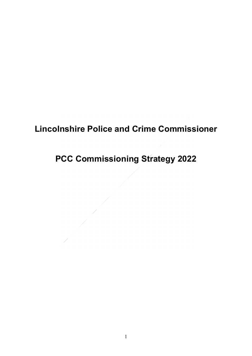# **Lincolnshire Police and Crime Commissioner**

# **PCC Commissioning Strategy 2022**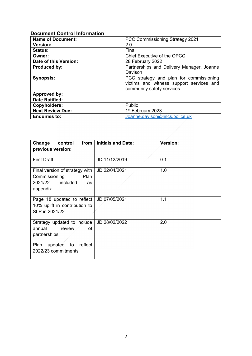# **Document Control Information**

| <b>Name of Document:</b> | PCC Commissioning Strategy 2021                                                     |
|--------------------------|-------------------------------------------------------------------------------------|
| <b>Version:</b>          | 2.0                                                                                 |
| <b>Status:</b>           | Final                                                                               |
| Owner:                   | Chief Executive of the OPCC                                                         |
| Date of this Version:    | 28 February 2022                                                                    |
| <b>Produced by:</b>      | Partnerships and Delivery Manager, Joanne                                           |
|                          | Davison                                                                             |
| <b>Synopsis:</b>         | PCC strategy and plan for commissioning<br>victims and witness support services and |
|                          | community safety services                                                           |
| <b>Approved by:</b>      |                                                                                     |
| <b>Date Ratified:</b>    |                                                                                     |
| Copyholders:             | Public                                                                              |
| <b>Next Review Due:</b>  | 1 <sup>st</sup> February 2023                                                       |
| <b>Enquiries to:</b>     | Joanne.davison@lincs.police.uk                                                      |

 $\frac{1}{\sqrt{2}}$ 

| from  <br>Change<br>control                                                                                                | <b>Initials and Date:</b> | <b>Version:</b> |
|----------------------------------------------------------------------------------------------------------------------------|---------------------------|-----------------|
| previous version:                                                                                                          |                           |                 |
| <b>First Draft</b>                                                                                                         | JD 11/12/2019             | 0.1             |
| Final version of strategy with<br>Commissioning<br>Plan<br>2021/22 included<br>as<br>appendix                              | JD 22/04/2021             | 1.0             |
| Page 18 updated to reflect<br>10% uplift in contribution to<br>SLP in 2021/22                                              | JD 07/05/2021             | 1.1             |
| Strategy updated to include<br>annual<br>review<br>οf<br>partnerships<br>updated to reflect<br>Plan<br>2022/23 commitments | JD 28/02/2022             | 2.0             |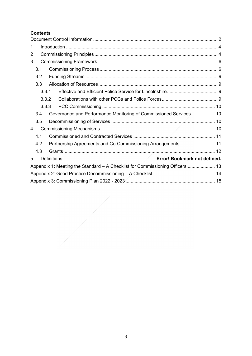# **Contents**

| 1              |     |       |                                                                              |  |
|----------------|-----|-------|------------------------------------------------------------------------------|--|
| $\overline{2}$ |     |       |                                                                              |  |
| 3              |     |       |                                                                              |  |
|                | 3.1 |       |                                                                              |  |
|                | 3.2 |       |                                                                              |  |
|                | 3.3 |       |                                                                              |  |
|                |     | 3.3.1 |                                                                              |  |
|                |     | 3.3.2 |                                                                              |  |
|                |     | 3.3.3 |                                                                              |  |
|                | 3.4 |       | Governance and Performance Monitoring of Commissioned Services 10            |  |
|                | 3.5 |       |                                                                              |  |
| 4              |     |       |                                                                              |  |
|                | 4.1 |       |                                                                              |  |
|                | 4.2 |       | Partnership Agreements and Co-Commissioning Arrangements 11                  |  |
|                | 4.3 |       |                                                                              |  |
| 5              |     |       |                                                                              |  |
|                |     |       | Appendix 1: Meeting the Standard – A Checklist for Commissioning Officers 13 |  |
|                |     |       |                                                                              |  |
|                |     |       |                                                                              |  |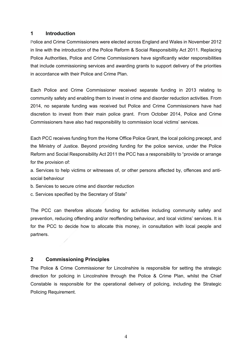## **1 Introduction**

Police and Crime Commissioners were elected across England and Wales in November 2012 in line with the introduction of the Police Reform & Social Responsibility Act 2011. Replacing Police Authorities, Police and Crime Commissioners have significantly wider responsibilities that include commissioning services and awarding grants to support delivery of the priorities in accordance with their Police and Crime Plan.

Each Police and Crime Commissioner received separate funding in 2013 relating to community safety and enabling them to invest in crime and disorder reduction activities. From 2014, no separate funding was received but Police and Crime Commissioners have had discretion to invest from their main police grant. From October 2014, Police and Crime Commissioners have also had responsibility to commission local victims' services.

Each PCC receives funding from the Home Office Police Grant, the local policing precept, and the Ministry of Justice. Beyond providing funding for the police service, under the Police Reform and Social Responsibility Act 2011 the PCC has a responsibility to "provide or arrange for the provision of:

a. Services to help victims or witnesses of, or other persons affected by, offences and antisocial behaviour

b. Services to secure crime and disorder reduction

c. Services specified by the Secretary of State"

The PCC can therefore allocate funding for activities including community safety and prevention, reducing offending and/or reoffending behaviour, and local victims' services. It is for the PCC to decide how to allocate this money, in consultation with local people and partners.

# **2 Commissioning Principles**

The Police & Crime Commissioner for Lincolnshire is responsible for setting the strategic direction for policing in Lincolnshire through the Police & Crime Plan, whilst the Chief Constable is responsible for the operational delivery of policing, including the Strategic Policing Requirement.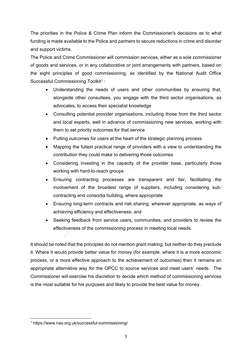The priorities in the Police & Crime Plan inform the Commissioner's decisions as to what funding is made available to the Police and partners to secure reductions in crime and disorder and support victims.

The Police and Crime Commissioner will commission services, either as a sole commissioner of goods and services, or in any collaborative or joint arrangements with partners, based on the eight principles of good commissioning, as identified by the National Audit Office Successful Commissioning Toolkit<sup>1</sup>:

- Understanding the needs of users and other communities by ensuring that, alongside other consultees, you engage with the third sector organisations, as advocates, to access their specialist knowledge
- Consulting potential provider organisations, including those from the third sector and local experts, well in advance of commissioning new services, working with them to set priority outcomes for that service
- Putting outcomes for users at the heart of the strategic planning process
- Mapping the fullest practical range of providers with a view to understanding the contribution they could make to delivering those outcomes
- Considering investing in the capacity of the provider base, particularly those working with hard-to-reach groups
- Ensuring contracting processes are transparent and fair, facilitating the involvement of the broadest range of suppliers, including considering subcontracting and consortia building, where appropriate
- Ensuring long-term contracts and risk sharing, wherever appropriate, as ways of achieving efficiency and effectiveness; and
- Seeking feedback from service users, communities, and providers to review the effectiveness of the commissioning process in meeting local needs.

It should be noted that the principles do not mention grant making, but neither do they preclude it. Where it would provide better value for money (for example, where it is a more economic process, or a more effective approach to the achievement of outcomes) then it remains an appropriate alternative way for the OPCC to source services and meet users' needs. The Commissioner will exercise his discretion to decide which method of commissioning services is the most suitable for his purposes and likely to provide the best value for money.

<sup>1</sup> https://www.nao.org.uk/successful-commissioning/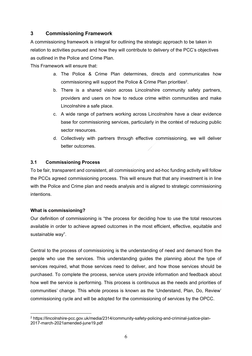# **3 Commissioning Framework**

A commissioning framework is integral for outlining the strategic approach to be taken in relation to activities pursued and how they will contribute to delivery of the PCC's objectives as outlined in the Police and Crime Plan.

This Framework will ensure that:

- a. The Police & Crime Plan determines, directs and communicates how commissioning will support the Police & Crime Plan priorities<sup>2</sup>.
- b. There is a shared vision across Lincolnshire community safety partners, providers and users on how to reduce crime within communities and make Lincolnshire a safe place.
- c. A wide range of partners working across Lincolnshire have a clear evidence base for commissioning services, particularly in the context of reducing public sector resources.
- d. Collectively with partners through effective commissioning, we will deliver better outcomes.

#### **3.1 Commissioning Process**

To be fair, transparent and consistent, all commissioning and ad-hoc funding activity will follow the PCCs agreed commissioning process. This will ensure that that any investment is in line with the Police and Crime plan and needs analysis and is aligned to strategic commissioning intentions.

#### **What is commissioning?**

Our definition of commissioning is "the process for deciding how to use the total resources available in order to achieve agreed outcomes in the most efficient, effective, equitable and sustainable way".

Central to the process of commissioning is the understanding of need and demand from the people who use the services. This understanding guides the planning about the type of services required, what those services need to deliver, and how those services should be purchased. To complete the process, service users provide information and feedback about how well the service is performing. This process is continuous as the needs and priorities of communities' change. This whole process is known as the 'Understand, Plan, Do, Review' commissioning cycle and will be adopted for the commissioning of services by the OPCC.

<sup>2</sup> https://lincolnshire-pcc.gov.uk/media/2314/community-safety-policing-and-criminal-justice-plan-2017-march-2021amended-june19.pdf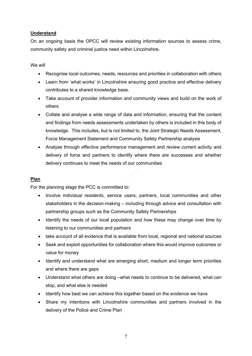#### **Understand**

On an ongoing basis the OPCC will review existing information sources to assess crime, community safety and criminal justice need within Lincolnshire.

We will

- Recognise local outcomes, needs, resources and priorities in collaboration with others
- Learn from 'what works' in Lincolnshire ensuring good practice and effective delivery contributes to a shared knowledge base.
- Take account of provider information and community views and build on the work of others
- Collate and analyse a wide range of data and information, ensuring that the content and findings from needs assessments undertaken by others is included in this body of knowledge. This includes, but is not limited to, the Joint Strategic Needs Assessment, Force Management Statement and Community Safety Partnership analysis
- Analyse through effective performance management and review current activity and delivery of force and partners to identify where there are successes and whether delivery continues to meet the needs of our communities

#### **Plan**

For the planning stage the PCC is committed to:

- Involve individual residents, service users, partners, local communities and other stakeholders in the decision-making – including through advice and consultation with partnership groups such as the Community Safety Partnerships
- Identify the needs of our local population and how these may change over time by listening to our communities and partners
- take account of all evidence that is available from local, regional and national sources
- Seek and exploit opportunities for collaboration where this would improve outcomes or value for money
- Identify and understand what are emerging short, medium and longer term priorities and where there are gaps
- Understand what others are doing –what needs to continue to be delivered, what can stop, and what else is needed
- Identify how best we can achieve this together based on the evidence we have
- Share my intentions with Lincolnshire communities and partners involved in the delivery of the Police and Crime Plan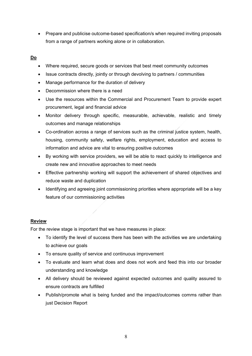Prepare and publicise outcome-based specification/s when required inviting proposals from a range of partners working alone or in collaboration.

#### **Do**

- Where required, secure goods or services that best meet community outcomes
- Issue contracts directly, jointly or through devolving to partners / communities
- Manage performance for the duration of delivery
- Decommission where there is a need
- Use the resources within the Commercial and Procurement Team to provide expert procurement, legal and financial advice
- Monitor delivery through specific, measurable, achievable, realistic and timely outcomes and manage relationships
- Co-ordination across a range of services such as the criminal justice system, health, housing, community safety, welfare rights, employment, education and access to information and advice are vital to ensuring positive outcomes
- By working with service providers, we will be able to react quickly to intelligence and create new and innovative approaches to meet needs
- Effective partnership working will support the achievement of shared objectives and reduce waste and duplication
- Identifying and agreeing joint commissioning priorities where appropriate will be a key feature of our commissioning activities

#### **Review**

For the review stage is important that we have measures in place:

- To identify the level of success there has been with the activities we are undertaking to achieve our goals
- To ensure quality of service and continuous improvement
- To evaluate and learn what does and does not work and feed this into our broader understanding and knowledge
- All delivery should be reviewed against expected outcomes and quality assured to ensure contracts are fulfilled
- Publish/promote what is being funded and the impact/outcomes comms rather than just Decision Report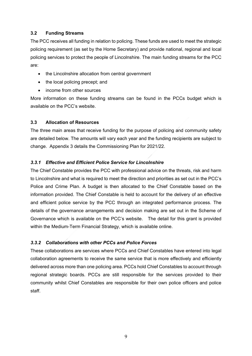#### **3.2 Funding Streams**

The PCC receives all funding in relation to policing. These funds are used to meet the strategic policing requirement (as set by the Home Secretary) and provide national, regional and local policing services to protect the people of Lincolnshire. The main funding streams for the PCC are:

- the Lincolnshire allocation from central government
- the local policing precept; and
- income from other sources

More information on these funding streams can be found in the PCCs budget which is available on the PCC's website.

#### **3.3 Allocation of Resources**

The three main areas that receive funding for the purpose of policing and community safety are detailed below. The amounts will vary each year and the funding recipients are subject to change. Appendix 3 details the Commissioning Plan for 2021/22.

#### *3.3.1 Effective and Efficient Police Service for Lincolnshire*

The Chief Constable provides the PCC with professional advice on the threats, risk and harm to Lincolnshire and what is required to meet the direction and priorities as set out in the PCC's Police and Crime Plan. A budget is then allocated to the Chief Constable based on the information provided. The Chief Constable is held to account for the delivery of an effective and efficient police service by the PCC through an integrated performance process. The details of the governance arrangements and decision making are set out in the Scheme of Governance which is available on the PCC's website. The detail for this grant is provided within the Medium-Term Financial Strategy, which is available online.

#### *3.3.2 Collaborations with other PCCs and Police Forces*

These collaborations are services where PCCs and Chief Constables have entered into legal collaboration agreements to receive the same service that is more effectively and efficiently delivered across more than one policing area. PCCs hold Chief Constables to account through regional strategic boards. PCCs are still responsible for the services provided to their community whilst Chief Constables are responsible for their own police officers and police staff.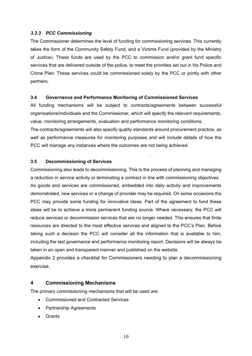#### *3.3.3 PCC Commissioning*

The Commissioner determines the level of funding for commissioning services. This currently takes the form of the Community Safety Fund, and a Victims Fund (provided by the Ministry of Justice). These funds are used by the PCC to commission and/or grant fund specific services that are delivered outside of the police, to meet the priorities set out in his Police and Crime Plan. These services could be commissioned solely by the PCC or jointly with other partners.

#### **3.4 Governance and Performance Monitoring of Commissioned Services**

All funding mechanisms will be subject to contracts/agreements between successful organisations/individuals and the Commissioner, which will specify the relevant requirements, value, monitoring arrangements, evaluation and performance monitoring conditions. The contracts/agreements will also specify quality standards around procurement practice, as well as performance measures for monitoring purposes and will include details of how the PCC will manage any instances where the outcomes are not being achieved.

#### **3.5 Decommissioning of Services**

Commissioning also leads to decommissioning. This is the process of planning and managing a reduction in service activity or terminating a contract in line with commissioning objectives. As goods and services are commissioned, embedded into daily activity and improvements demonstrated, new services or a change of provider may be required. On some occasions the PCC may provide some funding for innovative ideas. Part of the agreement to fund these ideas will be to achieve a more permanent funding source. Where necessary, the PCC will reduce services or decommission services that are no longer needed. This ensures that finite resources are directed to the most effective services and aligned to the PCC's Plan. Before taking such a decision the PCC will consider all the information that is available to him, including the last governance and performance monitoring report. Decisions will be always be taken in an open and transparent manner and published on the website.

Appendix 2 provides a checklist for Commissioners needing to plan a decommissioning exercise.

#### **4 Commissioning Mechanisms**

The primary commissioning mechanisms that will be used are:

- Commissioned and Contracted Services
- Partnership Agreements
- **Grants**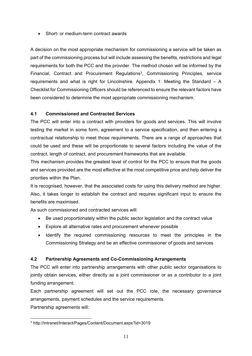• Short- or medium-term contract awards

A decision on the most appropriate mechanism for commissioning a service will be taken as part of the commissioning process but will include assessing the benefits, restrictions and legal requirements for both the PCC and the provider. The method chosen will be informed by the Financial, Contract and Procurement Regulations<sup>3</sup>, Commissioning Principles, service requirements and what is right for Lincolnshire. Appendix 1: Meeting the Standard – A Checklist for Commissioning Officers should be referenced to ensure the relevant factors have been considered to determine the most appropriate commissioning mechanism.

#### **4.1 Commissioned and Contracted Services**

The PCC will enter into a contract with providers for goods and services. This will involve testing the market in some form, agreement to a service specification, and then entering a contractual relationship to meet those requirements. There are a range of approaches that could be used and these will be proportionate to several factors including the value of the contract, length of contract, and procurement frameworks that are available.

This mechanism provides the greatest level of control for the PCC to ensure that the goods and services provided are the most effective at the most competitive price and help deliver the priorities within the Plan.

It is recognised, however, that the associated costs for using this delivery method are higher. Also, it takes longer to establish the contract and requires significant input to ensure the benefits are maximised.

As such commissioned and contracted services will:

- Be used proportionately within the public sector legislation and the contract value
- Explore all alternative rates and procurement whenever possible
- Identify the required commissioning resources to meet the principles in the Commissioning Strategy and be an effective commissioner of goods and services

#### **4.2 Partnership Agreements and Co-Commissioning Arrangements**

The PCC will enter into partnership arrangements with other public sector organisations to jointly obtain services, either directly as a joint commissioner or as a contributor to a joint funding arrangement.

Each partnership agreement will set out the PCC role, the necessary governance arrangements, payment schedules and the service requirements.

Partnership agreements will:

<sup>3</sup> http://intranet/Interact/Pages/Content/Document.aspx?id=3019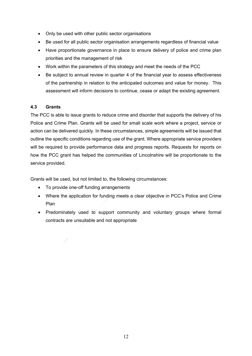- Only be used with other public sector organisations
- Be used for all public sector organisation arrangements regardless of financial value
- Have proportionate governance in place to ensure delivery of police and crime plan priorities and the management of risk
- Work within the parameters of this strategy and meet the needs of the PCC
- Be subject to annual review in quarter 4 of the financial year to assess effectiveness of the partnership in relation to the anticipated outcomes and value for money. This assessment will inform decisions to continue, cease or adapt the existing agreement.

#### **4.3 Grants**

The PCC is able to issue grants to reduce crime and disorder that supports the delivery of his Police and Crime Plan. Grants will be used for small scale work where a project, service or action can be delivered quickly. In these circumstances, simple agreements will be issued that outline the specific conditions regarding use of the grant. Where appropriate service providers will be required to provide performance data and progress reports. Requests for reports on how the PCC grant has helped the communities of Lincolnshire will be proportionate to the service provided.

Grants will be used, but not limited to, the following circumstances:

- To provide one-off funding arrangements
- Where the application for funding meets a clear objective in PCC's Police and Crime Plan
- Predominately used to support community and voluntary groups where formal contracts are unsuitable and not appropriate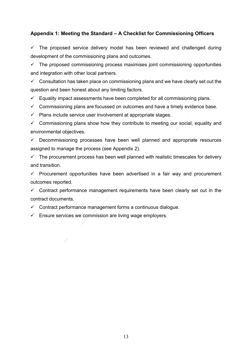## **Appendix 1: Meeting the Standard – A Checklist for Commissioning Officers**

 $\checkmark$  The proposed service delivery model has been reviewed and challenged during development of the commissioning plans and outcomes.

 $\checkmark$  The proposed commissioning process maximises joint commissioning opportunities and integration with other local partners.

 $\checkmark$  Consultation has taken place on commissioning plans and we have clearly set out the question and been honest about any limiting factors.

 $\checkmark$  Equality impact assessments have been completed for all commissioning plans.

 $\checkmark$  Commissioning plans are focussed on outcomes and have a timely evidence base.

 $\checkmark$  Plans include service user involvement at appropriate stages.

 $\checkmark$  Commissioning plans show how they contribute to meeting our social, equality and environmental objectives.

 $\checkmark$  Decommissioning processes have been well planned and appropriate resources assigned to manage the process (see Appendix 2).

 $\checkmark$  The procurement process has been well planned with realistic timescales for delivery and transition.

 $\checkmark$  Procurement opportunities have been advertised in a fair way and procurement outcomes reported.

 $\checkmark$  Contract performance management requirements have been clearly set out in the contract documents.

 $\checkmark$  Contract performance management forms a continuous dialogue.

 $\checkmark$  Ensure services we commission are living wage employers.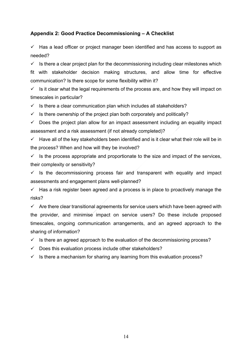#### **Appendix 2: Good Practice Decommissioning – A Checklist**

 $\checkmark$  Has a lead officer or project manager been identified and has access to support as needed?

 $\checkmark$  Is there a clear project plan for the decommissioning including clear milestones which fit with stakeholder decision making structures, and allow time for effective communication? Is there scope for some flexibility within it?

 $\checkmark$  Is it clear what the legal requirements of the process are, and how they will impact on timescales in particular?

 $\checkmark$  Is there a clear communication plan which includes all stakeholders?

 $\checkmark$  Is there ownership of the project plan both corporately and politically?

 $\checkmark$  Does the project plan allow for an impact assessment including an equality impact assessment and a risk assessment (if not already completed)?

 $\checkmark$  Have all of the key stakeholders been identified and is it clear what their role will be in the process? When and how will they be involved?

 $\checkmark$  Is the process appropriate and proportionate to the size and impact of the services, their complexity or sensitivity?

 $\checkmark$  Is the decommissioning process fair and transparent with equality and impact assessments and engagement plans well-planned?

 $\checkmark$  Has a risk register been agreed and a process is in place to proactively manage the risks?

 $\checkmark$  Are there clear transitional agreements for service users which have been agreed with the provider, and minimise impact on service users? Do these include proposed timescales, ongoing communication arrangements, and an agreed approach to the sharing of information?

 $\checkmark$  Is there an agreed approach to the evaluation of the decommissioning process?

 $\checkmark$  Does this evaluation process include other stakeholders?

 $\checkmark$  Is there a mechanism for sharing any learning from this evaluation process?

14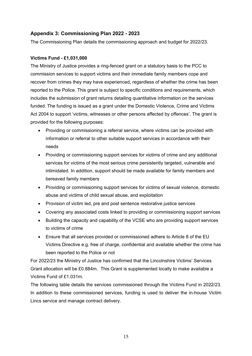## **Appendix 3: Commissioning Plan 2022 - 2023**

The Commissioning Plan details the commissioning approach and budget for 2022/23.

#### **Victims Fund - £1,031,000**

The Ministry of Justice provides a ring-fenced grant on a statutory basis to the PCC to commission services to support victims and their immediate family members cope and recover from crimes they may have experienced, regardless of whether the crime has been reported to the Police. This grant is subject to specific conditions and requirements, which includes the submission of grant returns detailing quantitative information on the services funded. The funding is issued as a grant under the Domestic Violence, Crime and Victims Act 2004 to support 'victims, witnesses or other persons affected by offences'. The grant is provided for the following purposes:

- Providing or commissioning a referral service, where victims can be provided with information or referral to other suitable support services in accordance with their needs
- Providing or commissioning support services for victims of crime and any additional services for victims of the most serious crime persistently targeted, vulnerable and intimidated. In addition, support should be made available for family members and bereaved family members
- Providing or commissioning support services for victims of sexual violence, domestic abuse and victims of child sexual abuse, and exploitation
- Provision of victim led, pre and post sentence restorative justice services
- Covering any associated costs linked to providing or commissioning support services
- Building the capacity and capability of the VCSE who are providing support services to victims of crime
- Ensure that all services provided or commissioned adhere to Article 8 of the EU Victims Directive e.g. free of charge, confidential and available whether the crime has been reported to the Police or not

For 2022/23 the Ministry of Justice has confirmed that the Lincolnshire Victims' Services Grant allocation will be £0.884m. This Grant is supplemented locally to make available a Victims Fund of £1.031m.

The following table details the services commissioned through the Victims Fund in 2022/23. In addition to these commissioned services, funding is used to deliver the in-house Victim Lincs service and manage contract delivery.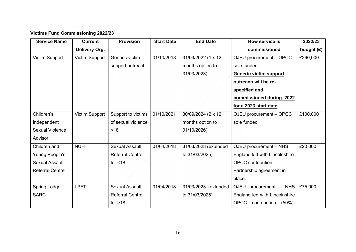# **Victims Fund Commissioning 2022/23**

| <b>Service Name</b>    | <b>Current</b>        | <b>Provision</b>       | <b>Start Date</b> | <b>End Date</b>      | How service is                            | 2022/23      |
|------------------------|-----------------------|------------------------|-------------------|----------------------|-------------------------------------------|--------------|
|                        | Delivery Org.         |                        |                   |                      | commissioned                              | budget $(E)$ |
| Victim Support         | <b>Victim Support</b> | Generic victim         | 01/10/2018        | 31/03/2022 (1 x 12   | OJEU procurement - OPCC                   | £260,000     |
|                        |                       | support outreach       |                   | months option to     | sole funded                               |              |
|                        |                       |                        |                   | 31/03/2023)          | <b>Generic victim support</b>             |              |
|                        |                       |                        |                   |                      | outreach will be re-                      |              |
|                        |                       |                        |                   |                      | specified and                             |              |
|                        |                       |                        |                   |                      | commissioned during 2022                  |              |
|                        |                       |                        |                   |                      | for a 2023 start date                     |              |
| Children's             | Victim Support        | Support to victims     | 01/10/2021        | 30/09/2024 (2 x 12   | OJEU procurement - OPCC                   | £100,000     |
| Independent            |                       | of sexual violence     |                   | months option to     | sole funded                               |              |
| <b>Sexual Violence</b> |                       | < 18                   |                   | 01/10/2026)          |                                           |              |
| Advisor                |                       |                        |                   |                      |                                           |              |
| Children and           | <b>NUHT</b>           | <b>Sexual Assault</b>  | 01/04/2018        | 31/03/2023 (extended | OJEU procurement - NHS                    | £20,000      |
| Young People's         |                       | <b>Referral Centre</b> |                   | to 31/03/2025)       | England led with Lincolnshire             |              |
| <b>Sexual Assault</b>  |                       | for $<$ 18             |                   |                      | OPCC contribution.                        |              |
| <b>Referral Centre</b> |                       |                        |                   |                      | Partnership agreement in                  |              |
|                        |                       |                        |                   |                      | place.                                    |              |
| Spring Lodge           | <b>LPFT</b>           | <b>Sexual Assault</b>  | 01/04/2018        | 31/03/2023 (extended | OJEU<br>procurement - NHS                 | £75,000      |
| <b>SARC</b>            |                       | <b>Referral Centre</b> |                   | to 31/03/2025)       | England led with Lincolnshire             |              |
|                        |                       | for $>18$              |                   |                      | <b>OPCC</b><br>contribution<br>$(50\%)$ . |              |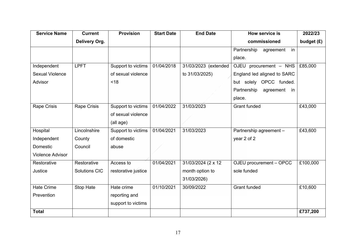| <b>Service Name</b>     | <b>Current</b>       | <b>Provision</b>    | <b>Start Date</b> | <b>End Date</b>      | How service is                 | 2022/23      |
|-------------------------|----------------------|---------------------|-------------------|----------------------|--------------------------------|--------------|
|                         | Delivery Org.        |                     |                   |                      | commissioned                   | budget $(E)$ |
|                         |                      |                     |                   |                      | Partnership<br>in<br>agreement |              |
|                         |                      |                     |                   |                      | place.                         |              |
| Independent             | <b>LPFT</b>          | Support to victims  | 01/04/2018        | 31/03/2023 (extended | OJEU procurement - NHS         | £85,000      |
| <b>Sexual Violence</b>  |                      | of sexual violence  |                   | to 31/03/2025)       | England led aligned to SARC    |              |
| Advisor                 |                      | < 18                |                   |                      | but solely OPCC funded.        |              |
|                         |                      |                     |                   |                      | Partnership<br>agreement<br>in |              |
|                         |                      |                     |                   |                      | place.                         |              |
| <b>Rape Crisis</b>      | <b>Rape Crisis</b>   | Support to victims  | 01/04/2022        | 31/03/2023           | <b>Grant funded</b>            | £43,000      |
|                         |                      | of sexual violence  |                   |                      |                                |              |
|                         |                      | (all age)           |                   |                      |                                |              |
| Hospital                | Lincolnshire         | Support to victims  | 01/04/2021        | 31/03/2023           | Partnership agreement -        | £43,600      |
| Independent             | County               | of domestic         |                   |                      | year 2 of 2                    |              |
| Domestic                | Council              | abuse               |                   |                      |                                |              |
| <b>Violence Advisor</b> |                      |                     |                   |                      |                                |              |
| Restorative             | Restorative          | Access to           | 01/04/2021        | 31/03/2024 (2 x 12   | OJEU procurement - OPCC        | £100,000     |
| Justice                 | <b>Solutions CIC</b> | restorative justice |                   | month option to      | sole funded                    |              |
|                         |                      |                     |                   | 31/03/2026)          |                                |              |
| <b>Hate Crime</b>       | Stop Hate            | Hate crime          | 01/10/2021        | 30/09/2022           | <b>Grant funded</b>            | £10,600      |
| Prevention              |                      | reporting and       |                   |                      |                                |              |
|                         |                      | support to victims  |                   |                      |                                |              |
| <b>Total</b>            |                      |                     |                   |                      |                                | £737,200     |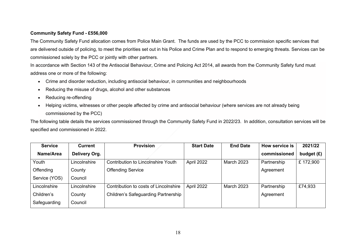#### **Community Safety Fund - £556,000**

The Community Safety Fund allocation comes from Police Main Grant. The funds are used by the PCC to commission specific services that are delivered outside of policing, to meet the priorities set out in his Police and Crime Plan and to respond to emerging threats. Services can be commissioned solely by the PCC or jointly with other partners.

In accordance with Section 143 of the Antisocial Behaviour, Crime and Policing Act 2014, all awards from the Community Safety fund must address one or more of the following:

- Crime and disorder reduction, including antisocial behaviour, in communities and neighbourhoods
- $\bullet$ Reducing the misuse of drugs, alcohol and other substances
- Reducing re-offending
- $\bullet$  Helping victims, witnesses or other people affected by crime and antisocial behaviour (where services are not already being commissioned by the PCC)

The following table details the services commissioned through the Community Safety Fund in 2022/23. In addition, consultation services will be specified and commissioned in 2022.

| <b>Service</b> | <b>Current</b> | <b>Provision</b>                      | <b>Start Date</b> | <b>End Date</b>   | How service is | 2021/22      |
|----------------|----------------|---------------------------------------|-------------------|-------------------|----------------|--------------|
| Name/Area      | Delivery Org.  |                                       |                   |                   | commissioned   | budget $(E)$ |
| Youth          | Lincolnshire   | Contribution to Lincolnshire Youth    | April 2022        | <b>March 2023</b> | Partnership    | £172,900     |
| Offending      | County         | Offending Service                     |                   |                   | Agreement      |              |
| Service (YOS)  | Council        |                                       |                   |                   |                |              |
| Lincolnshire   | Lincolnshire   | Contribution to costs of Lincolnshire | April 2022        | <b>March 2023</b> | Partnership    | £74,933      |
| Children's     | County         | Children's Safeguarding Partnership   |                   |                   | Agreement      |              |
| Safeguarding   | Council        |                                       |                   |                   |                |              |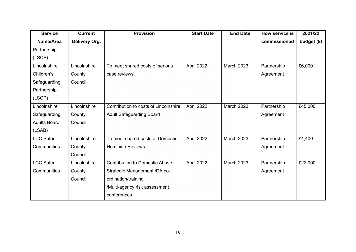| <b>Service</b>      | <b>Current</b> | <b>Provision</b>                      | <b>Start Date</b> | <b>End Date</b>   | How service is | 2021/22      |
|---------------------|----------------|---------------------------------------|-------------------|-------------------|----------------|--------------|
| Name/Area           | Delivery Org.  |                                       |                   |                   | commissioned   | budget $(E)$ |
| Partnership         |                |                                       |                   |                   |                |              |
| (LSCP)              |                |                                       |                   |                   |                |              |
| Lincolnshire        | Lincolnshire   | To meet shared costs of serious       | April 2022        | March 2023        | Partnership    | £6,000       |
| Children's          | County         | case reviews.                         |                   |                   | Agreement      |              |
| Safeguarding        | Council        |                                       |                   |                   |                |              |
| Partnership         |                |                                       |                   |                   |                |              |
| (LSCP)              |                |                                       |                   |                   |                |              |
| Lincolnshire        | Lincolnshire   | Contribution to costs of Lincolnshire | April 2022        | March 2023        | Partnership    | £45,000      |
| Safeguarding        | County         | <b>Adult Safeguarding Board</b>       |                   |                   | Agreement      |              |
| <b>Adults Board</b> | Council        |                                       |                   |                   |                |              |
| (LSAB)              |                |                                       |                   |                   |                |              |
| LCC Safer           | Lincolnshire   | To meet shared costs of Domestic      | April 2022        | <b>March 2023</b> | Partnership    | £4,400       |
| Communities         | County         | <b>Homicide Reviews</b>               |                   |                   | Agreement      |              |
|                     | Council        |                                       |                   |                   |                |              |
| <b>LCC Safer</b>    | Lincolnshire   | Contribution to Domestic Abuse -      | April 2022        | <b>March 2023</b> | Partnership    | £22,000      |
| Communities         | County         | Strategic Management /DA co-          |                   |                   | Agreement      |              |
|                     | Council        | ordination/training                   |                   |                   |                |              |
|                     |                | /Multi-agency risk assessment         |                   |                   |                |              |
|                     |                | conferences                           |                   |                   |                |              |